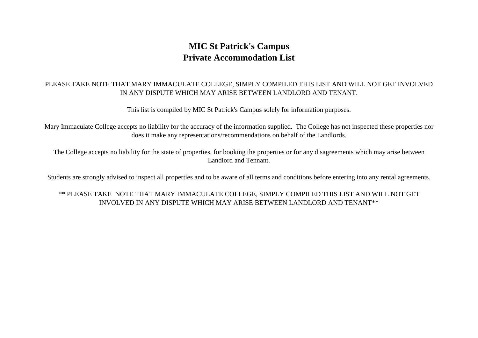## **MIC St Patrick's Campus Private Accommodation List**

## PLEASE TAKE NOTE THAT MARY IMMACULATE COLLEGE, SIMPLY COMPILED THIS LIST AND WILL NOT GET INVOLVED IN ANY DISPUTE WHICH MAY ARISE BETWEEN LANDLORD AND TENANT.

This list is compiled by MIC St Patrick's Campus solely for information purposes.

Mary Immaculate College accepts no liability for the accuracy of the information supplied. The College has not inspected these properties nor does it make any representations/recommendations on behalf of the Landlords.

The College accepts no liability for the state of properties, for booking the properties or for any disagreements which may arise between Landlord and Tennant.

Students are strongly advised to inspect all properties and to be aware of all terms and conditions before entering into any rental agreements.

## \*\* PLEASE TAKE NOTE THAT MARY IMMACULATE COLLEGE, SIMPLY COMPILED THIS LIST AND WILL NOT GET INVOLVED IN ANY DISPUTE WHICH MAY ARISE BETWEEN LANDLORD AND TENANT\*\*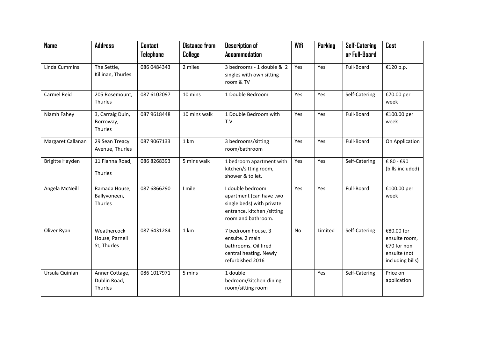| <b>Name</b>        | <b>Address</b>                               | <b>Contact</b> | <b>Distance from</b> | <b>Description of</b>                                                                                                        | Wifi | Parking | <b>Self-Catering</b> | Cost                                                                           |
|--------------------|----------------------------------------------|----------------|----------------------|------------------------------------------------------------------------------------------------------------------------------|------|---------|----------------------|--------------------------------------------------------------------------------|
|                    |                                              | Telephone      | College              | <b>Accommodation</b>                                                                                                         |      |         | or Full-Board        |                                                                                |
| Linda Cummins      | The Settle,<br>Killinan, Thurles             | 086 0484343    | 2 miles              | 3 bedrooms - 1 double & 2<br>singles with own sitting<br>room & TV                                                           | Yes  | Yes     | Full-Board           | €120 p.p.                                                                      |
| <b>Carmel Reid</b> | 205 Rosemount,<br>Thurles                    | 087 6102097    | 10 mins              | 1 Double Bedroom                                                                                                             | Yes  | Yes     | Self-Catering        | €70.00 per<br>week                                                             |
| Niamh Fahey        | 3, Carraig Duin,<br>Borroway,<br>Thurles     | 087 9618448    | 10 mins walk         | 1 Double Bedroom with<br>T.V.                                                                                                | Yes  | Yes     | Full-Board           | €100.00 per<br>week                                                            |
| Margaret Callanan  | 29 Sean Treacy<br>Avenue, Thurles            | 087 9067133    | 1 km                 | 3 bedrooms/sitting<br>room/bathroom                                                                                          | Yes  | Yes     | Full-Board           | On Application                                                                 |
| Brigitte Hayden    | 11 Fianna Road,<br>Thurles                   | 086 8268393    | 5 mins walk          | 1 bedroom apartment with<br>kitchen/sitting room,<br>shower & toilet.                                                        | Yes  | Yes     | Self-Catering        | € 80 - €90<br>(bills included)                                                 |
| Angela McNeill     | Ramada House,<br>Ballyvoneen,<br>Thurles     | 087 6866290    | I mile               | I double bedroom<br>apartment (can have two<br>single beds) with private<br>entrance, kitchen /sitting<br>room and bathroom. | Yes  | Yes     | Full-Board           | €100.00 per<br>week                                                            |
| Oliver Ryan        | Weathercock<br>House, Parnell<br>St, Thurles | 087 6431284    | 1 km                 | 7 bedroom house. 3<br>ensuite. 2 main<br>bathrooms. Oil fired<br>central heating. Newly<br>refurbished 2016                  | No   | Limited | Self-Catering        | €80.00 for<br>ensuite room,<br>€70 for non<br>ensuite (not<br>including bills) |
| Ursula Quinlan     | Anner Cottage,<br>Dublin Road,<br>Thurles    | 086 1017971    | 5 mins               | 1 double<br>bedroom/kitchen-dining<br>room/sitting room                                                                      |      | Yes     | Self-Catering        | Price on<br>application                                                        |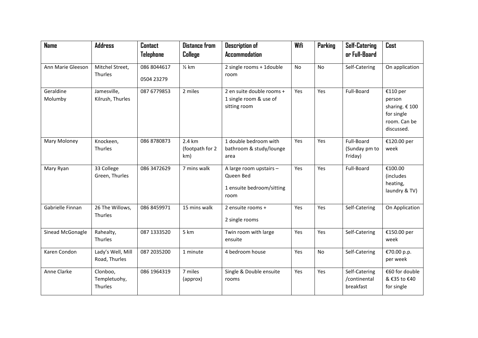| <b>Name</b>          | <b>Address</b>                      | <b>Contact</b>   | <b>Distance from</b>             | <b>Description of</b>                                                     | Wifi | Parking | <b>Self-Catering</b>                       | Cost                                                                             |
|----------------------|-------------------------------------|------------------|----------------------------------|---------------------------------------------------------------------------|------|---------|--------------------------------------------|----------------------------------------------------------------------------------|
|                      |                                     | <b>Telephone</b> | College                          | <b>Accommodation</b>                                                      |      |         | or Full-Board                              |                                                                                  |
| Ann Marie Gleeson    | Mitchel Street,                     | 086 8044617      | $\frac{1}{2}$ km                 | 2 single rooms + 1double                                                  | No   | No      | Self-Catering                              | On application                                                                   |
|                      | Thurles                             | 0504 23279       |                                  | room                                                                      |      |         |                                            |                                                                                  |
| Geraldine<br>Molumby | Jamesville,<br>Kilrush, Thurles     | 087 6779853      | 2 miles                          | 2 en suite double rooms +<br>1 single room & use of<br>sitting room       | Yes  | Yes     | Full-Board                                 | €110 per<br>person<br>sharing. € 100<br>for single<br>room. Can be<br>discussed. |
| Mary Moloney         | Knockeen,<br>Thurles                | 086 8780873      | 2.4 km<br>(footpath for 2<br>km) | 1 double bedroom with<br>bathroom & study/lounge<br>area                  | Yes  | Yes     | Full-Board<br>(Sunday pm to<br>Friday)     | €120.00 per<br>week                                                              |
| Mary Ryan            | 33 College<br>Green, Thurles        | 086 3472629      | 7 mins walk                      | A large room upstairs -<br>Queen Bed<br>1 ensuite bedroom/sitting<br>room | Yes  | Yes     | Full-Board                                 | €100.00<br>(includes<br>heating,<br>laundry & TV)                                |
| Gabrielle Finnan     | 26 The Willows,<br>Thurles          | 086 8459971      | 15 mins walk                     | 2 ensuite rooms +<br>2 single rooms                                       | Yes  | Yes     | Self-Catering                              | On Application                                                                   |
| Sinead McGonagle     | Rahealty,<br>Thurles                | 087 1333520      | 5 km                             | Twin room with large<br>ensuite                                           | Yes  | Yes     | Self-Catering                              | €150.00 per<br>week                                                              |
| Karen Condon         | Lady's Well, Mill<br>Road, Thurles  | 087 2035 200     | 1 minute                         | 4 bedroom house                                                           | Yes  | No      | Self-Catering                              | €70.00 p.p.<br>per week                                                          |
| Anne Clarke          | Clonboo,<br>Templetuohy,<br>Thurles | 086 1964319      | 7 miles<br>(approx)              | Single & Double ensuite<br>rooms                                          | Yes  | Yes     | Self-Catering<br>/continental<br>breakfast | €60 for double<br>& €35 to €40<br>for single                                     |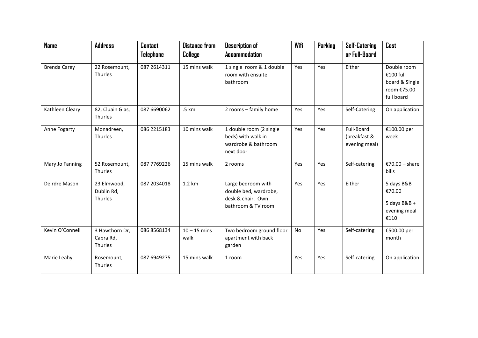| <b>Name</b>         | <b>Address</b>                         | <b>Contact</b><br>Telephone | <b>Distance from</b><br>College | <b>Description of</b><br><b>Accommodation</b>                                          | Wifi | Parking | <b>Self-Catering</b><br>or Full-Board       | Cost                                                          |
|---------------------|----------------------------------------|-----------------------------|---------------------------------|----------------------------------------------------------------------------------------|------|---------|---------------------------------------------|---------------------------------------------------------------|
| <b>Brenda Carey</b> | 22 Rosemount,                          | 087 2614311                 | 15 mins walk                    | 1 single room & 1 double                                                               | Yes  | Yes     | Either                                      | Double room                                                   |
|                     | Thurles                                |                             |                                 | room with ensuite<br>bathroom                                                          |      |         |                                             | €100 full<br>board & Single<br>room €75.00<br>full board      |
| Kathleen Cleary     | 82, Cluain Glas,<br>Thurles            | 087 6690062                 | .5 km                           | 2 rooms - family home                                                                  | Yes  | Yes     | Self-Catering                               | On application                                                |
| Anne Fogarty        | Monadreen,<br>Thurles                  | 086 2215183                 | 10 mins walk                    | 1 double room (2 single<br>beds) with walk in<br>wardrobe & bathroom<br>next door      | Yes  | Yes     | Full-Board<br>(breakfast &<br>evening meal) | €100.00 per<br>week                                           |
| Mary Jo Fanning     | 52 Rosemount,<br>Thurles               | 087 7769226                 | 15 mins walk                    | 2 rooms                                                                                | Yes  | Yes     | Self-catering                               | €70.00 - share<br>bills                                       |
| Deirdre Mason       | 23 Elmwood,<br>Dublin Rd,<br>Thurles   | 087 2034018                 | 1.2 km                          | Large bedroom with<br>double bed, wardrobe,<br>desk & chair. Own<br>bathroom & TV room | Yes  | Yes     | Either                                      | 5 days B&B<br>€70.00<br>5 days $B&B+$<br>evening meal<br>€110 |
| Kevin O'Connell     | 3 Hawthorn Dr,<br>Cabra Rd,<br>Thurles | 086 8568134                 | $10 - 15$ mins<br>walk          | Two bedroom ground floor<br>apartment with back<br>garden                              | No   | Yes     | Self-catering                               | €500.00 per<br>month                                          |
| Marie Leahy         | Rosemount,<br>Thurles                  | 087 6949275                 | 15 mins walk                    | 1 room                                                                                 | Yes  | Yes     | Self-catering                               | On application                                                |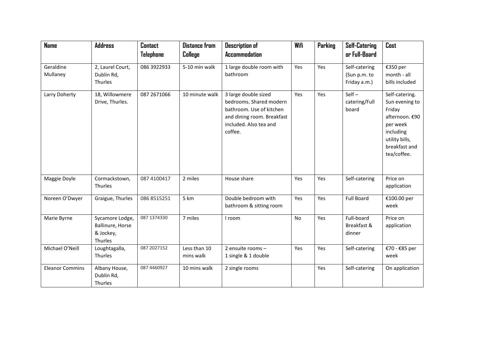| <b>Name</b>            | <b>Address</b>                                              | <b>Contact</b> | <b>Distance from</b>      | <b>Description of</b>                                                                                                                          | Wifi | <b>Parking</b> | <b>Self-Catering</b>                          | Cost                                                                                                                                    |
|------------------------|-------------------------------------------------------------|----------------|---------------------------|------------------------------------------------------------------------------------------------------------------------------------------------|------|----------------|-----------------------------------------------|-----------------------------------------------------------------------------------------------------------------------------------------|
|                        |                                                             | Telephone      | College                   | <b>Accommodation</b>                                                                                                                           |      |                | or Full-Board                                 |                                                                                                                                         |
| Geraldine<br>Mullaney  | 2, Laurel Court,<br>Dublin Rd,<br>Thurles                   | 086 3922933    | 5-10 min walk             | 1 large double room with<br>bathroom                                                                                                           | Yes  | Yes            | Self-catering<br>(Sun p.m. to<br>Friday a.m.) | €350 per<br>month - all<br>bills included                                                                                               |
| Larry Doherty          | 18, Willowmere<br>Drive, Thurles.                           | 087 2671066    | 10 minute walk            | 3 large double sized<br>bedrooms. Shared modern<br>bathroom. Use of kitchen<br>and dining room. Breakfast<br>included. Also tea and<br>coffee. | Yes  | Yes            | $Self -$<br>catering/Full<br>board            | Self-catering.<br>Sun evening to<br>Friday<br>afternoon. €90<br>per week<br>including<br>utility bills,<br>breakfast and<br>tea/coffee. |
| Maggie Doyle           | Cormackstown,<br>Thurles                                    | 087 4100417    | 2 miles                   | House share                                                                                                                                    | Yes  | Yes            | Self-catering                                 | Price on<br>application                                                                                                                 |
| Noreen O'Dwyer         | Graigue, Thurles                                            | 086 8515251    | 5 km                      | Double bedroom with<br>bathroom & sitting room                                                                                                 | Yes  | Yes            | <b>Full Board</b>                             | €100.00 per<br>week                                                                                                                     |
| Marie Byrne            | Sycamore Lodge,<br>Ballinure, Horse<br>& Jockey,<br>Thurles | 087 1374330    | 7 miles                   | I room                                                                                                                                         | No   | Yes            | Full-board<br>Breakfast &<br>dinner           | Price on<br>application                                                                                                                 |
| Michael O'Neill        | Loughtagalla,<br>Thurles                                    | 087 2027152    | Less than 10<br>mins walk | 2 ensuite rooms -<br>1 single & 1 double                                                                                                       | Yes  | Yes            | Self-catering                                 | €70 - €85 per<br>week                                                                                                                   |
| <b>Eleanor Commins</b> | Albany House,<br>Dublin Rd,<br>Thurles                      | 087 4460927    | 10 mins walk              | 2 single rooms                                                                                                                                 |      | Yes            | Self-catering                                 | On application                                                                                                                          |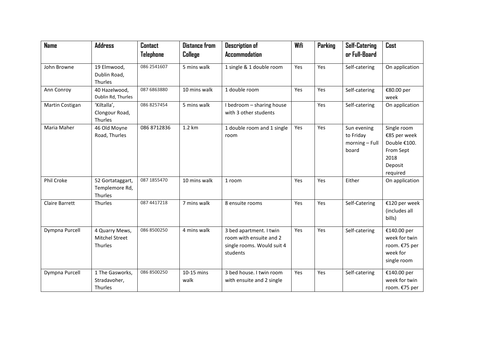| <b>Name</b>           | <b>Address</b>                                | <b>Contact</b> | <b>Distance from</b> | <b>Description of</b>                                                                        | Wifi | Parking | <b>Self-Catering</b>                                | Cost                                                                                    |
|-----------------------|-----------------------------------------------|----------------|----------------------|----------------------------------------------------------------------------------------------|------|---------|-----------------------------------------------------|-----------------------------------------------------------------------------------------|
|                       |                                               | Telephone      | College              | <b>Accommodation</b>                                                                         |      |         | or Full-Board                                       |                                                                                         |
| John Browne           | 19 Elmwood,<br>Dublin Road,<br>Thurles        | 086 2541607    | 5 mins walk          | 1 single & 1 double room                                                                     | Yes  | Yes     | Self-catering                                       | On application                                                                          |
| Ann Conroy            | 40 Hazelwood,<br>Dublin Rd, Thurles           | 087 6863880    | 10 mins walk         | 1 double room                                                                                | Yes  | Yes     | Self-catering                                       | €80.00 per<br>week                                                                      |
| Martin Costigan       | 'Kiltalla',<br>Clongour Road,<br>Thurles      | 086 8257454    | 5 mins walk          | I bedroom - sharing house<br>with 3 other students                                           |      | Yes     | Self-catering                                       | On application                                                                          |
| Maria Maher           | 46 Old Moyne<br>Road, Thurles                 | 086 8712836    | 1.2 km               | 1 double room and 1 single<br>room                                                           | Yes  | Yes     | Sun evening<br>to Friday<br>morning - Full<br>board | Single room<br>€85 per week<br>Double €100.<br>From Sept<br>2018<br>Deposit<br>required |
| Phil Croke            | 52 Gortataggart,<br>Templemore Rd,<br>Thurles | 087 1855470    | 10 mins walk         | 1 room                                                                                       | Yes  | Yes     | Either                                              | On application                                                                          |
| <b>Claire Barrett</b> | Thurles                                       | 087 4417218    | 7 mins walk          | 8 ensuite rooms                                                                              | Yes  | Yes     | Self-Catering                                       | €120 per week<br>(includes all<br>bills)                                                |
| Dympna Purcell        | 4 Quarry Mews,<br>Mitchel Street<br>Thurles   | 086 8500250    | 4 mins walk          | 3 bed apartment. I twin<br>room with ensuite and 2<br>single rooms. Would suit 4<br>students | Yes  | Yes     | Self-catering                                       | €140.00 per<br>week for twin<br>room. €75 per<br>week for<br>single room                |
| Dympna Purcell        | 1 The Gasworks,<br>Stradavoher,<br>Thurles    | 086 8500250    | 10-15 mins<br>walk   | 3 bed house. I twin room<br>with ensuite and 2 single                                        | Yes  | Yes     | Self-catering                                       | €140.00 per<br>week for twin<br>room. €75 per                                           |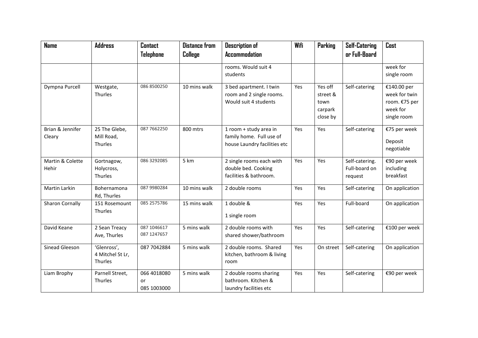| <b>Name</b>                      | <b>Address</b>                             | <b>Contact</b><br><b>Telephone</b> | <b>Distance from</b><br>College | <b>Description of</b><br><b>Accommodation</b>                                      | Wifi | Parking                                            | <b>Self-Catering</b><br>or Full-Board      | Cost                                                                     |
|----------------------------------|--------------------------------------------|------------------------------------|---------------------------------|------------------------------------------------------------------------------------|------|----------------------------------------------------|--------------------------------------------|--------------------------------------------------------------------------|
|                                  |                                            |                                    |                                 | rooms. Would suit 4<br>students                                                    |      |                                                    |                                            | week for<br>single room                                                  |
| Dympna Purcell                   | Westgate,<br>Thurles                       | 086 8500250                        | 10 mins walk                    | 3 bed apartment. I twin<br>room and 2 single rooms.<br>Would suit 4 students       | Yes  | Yes off<br>street &<br>town<br>carpark<br>close by | Self-catering                              | €140.00 per<br>week for twin<br>room. €75 per<br>week for<br>single room |
| Brian & Jennifer<br>Cleary       | 25 The Glebe,<br>Mill Road,<br>Thurles     | 087 7662250                        | 800 mtrs                        | 1 room + study area in<br>family home. Full use of<br>house Laundry facilities etc | Yes  | Yes                                                | Self-catering                              | €75 per week<br>Deposit<br>negotiable                                    |
| Martin & Colette<br><b>Hehir</b> | Gortnagow,<br>Holycross,<br>Thurles        | 086 3292085                        | 5 km                            | 2 single rooms each with<br>double bed. Cooking<br>facilities & bathroom.          | Yes  | Yes                                                | Self-catering.<br>Full-board on<br>request | €90 per week<br>including<br>breakfast                                   |
| Martin Larkin                    | Bohernamona<br>Rd, Thurles                 | 087 9980284                        | 10 mins walk                    | 2 double rooms                                                                     | Yes  | Yes                                                | Self-catering                              | On application                                                           |
| Sharon Cornally                  | 151 Rosemount<br>Thurles                   | 085 2575786                        | 15 mins walk                    | 1 double &<br>1 single room                                                        | Yes  | Yes                                                | Full-board                                 | On application                                                           |
| David Keane                      | 2 Sean Treacy<br>Ave, Thurles              | 087 1046617<br>087 1247657         | 5 mins walk                     | 2 double rooms with<br>shared shower/bathroom                                      | Yes  | Yes                                                | Self-catering                              | €100 per week                                                            |
| Sinead Gleeson                   | 'Glenross',<br>4 Mitchel St Lr,<br>Thurles | 087 7042884                        | 5 mins walk                     | 2 double rooms. Shared<br>kitchen, bathroom & living<br>room                       | Yes  | On street                                          | Self-catering                              | On application                                                           |
| Liam Brophy                      | Parnell Street,<br>Thurles                 | 066 4018080<br>or<br>085 1003000   | 5 mins walk                     | 2 double rooms sharing<br>bathroom. Kitchen &<br>laundry facilities etc            | Yes  | Yes                                                | Self-catering                              | €90 per week                                                             |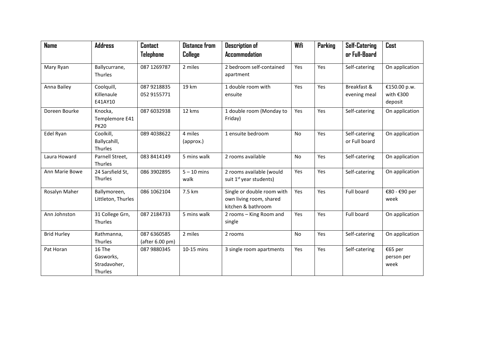| <b>Name</b>        | <b>Address</b>     | <b>Contact</b>  | <b>Distance from</b><br>College | <b>Description of</b><br><b>Accommodation</b> | Wifi      | Parking | <b>Self-Catering</b><br>or Full-Board | Cost           |
|--------------------|--------------------|-----------------|---------------------------------|-----------------------------------------------|-----------|---------|---------------------------------------|----------------|
|                    |                    | Telephone       |                                 |                                               |           |         |                                       |                |
| Mary Ryan          | Ballycurrane,      | 087 1269787     | 2 miles                         | 2 bedroom self-contained                      | Yes       | Yes     | Self-catering                         | On application |
|                    | Thurles            |                 |                                 | apartment                                     |           |         |                                       |                |
| Anna Bailey        | Coolquill,         | 087 9218835     | 19 km                           | 1 double room with                            | Yes       | Yes     | Breakfast &                           | €150.00 p.w.   |
|                    | Killenaule         | 052 9155771     |                                 | ensuite                                       |           |         | evening meal                          | with $€300$    |
|                    | E41AY10            |                 |                                 |                                               |           |         |                                       | deposit        |
| Doreen Bourke      | Knocka,            | 087 6032938     | 12 kms                          | 1 double room (Monday to                      | Yes       | Yes     | Self-catering                         | On application |
|                    | Templemore E41     |                 |                                 | Friday)                                       |           |         |                                       |                |
|                    | <b>PK20</b>        |                 |                                 |                                               |           |         |                                       |                |
| Edel Ryan          | Coolkill,          | 089 4038622     | 4 miles                         | 1 ensuite bedroom                             | <b>No</b> | Yes     | Self-catering                         | On application |
|                    | Ballycahill,       |                 | (approx.)                       |                                               |           |         | or Full board                         |                |
|                    | Thurles            |                 |                                 |                                               |           |         |                                       |                |
| Laura Howard       | Parnell Street,    | 083 8414149     | 5 mins walk                     | 2 rooms available                             | <b>No</b> | Yes     | Self-catering                         | On application |
|                    | Thurles            |                 |                                 |                                               |           |         |                                       |                |
| Ann Marie Bowe     | 24 Sarsfield St,   | 086 3902895     | $5 - 10$ mins                   | 2 rooms available (would                      | Yes       | Yes     | Self-catering                         | On application |
|                    | Thurles            |                 | walk                            | suit 1 <sup>st</sup> year students)           |           |         |                                       |                |
| Rosalyn Maher      | Ballymoreen,       | 086 1062104     | 7.5 km                          | Single or double room with                    | Yes       | Yes     | Full board                            | €80 - €90 per  |
|                    | Littleton, Thurles |                 |                                 | own living room, shared                       |           |         |                                       | week           |
|                    |                    |                 |                                 | kitchen & bathroom                            |           |         |                                       |                |
| Ann Johnston       | 31 College Grn,    | 087 2184733     | 5 mins walk                     | 2 rooms - King Room and                       | Yes       | Yes     | Full board                            | On application |
|                    | Thurles            |                 |                                 | single                                        |           |         |                                       |                |
| <b>Brid Hurley</b> | Rathmanna,         | 087 6360585     | 2 miles                         | 2 rooms                                       | No        | Yes     | Self-catering                         | On application |
|                    | Thurles            | (after 6.00 pm) |                                 |                                               |           |         |                                       |                |
| Pat Horan          | 16 The             | 087 9880345     | 10-15 mins                      | 3 single room apartments                      | Yes       | Yes     | Self-catering                         | €65 per        |
|                    | Gasworks,          |                 |                                 |                                               |           |         |                                       | person per     |
|                    | Stradavoher,       |                 |                                 |                                               |           |         |                                       | week           |
|                    | Thurles            |                 |                                 |                                               |           |         |                                       |                |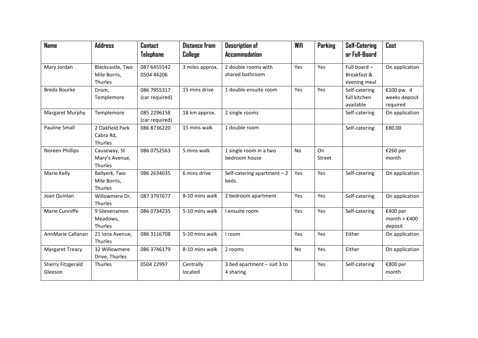| <b>Name</b>                         | <b>Address</b>                            | <b>Contact</b>                | <b>Distance from</b> | <b>Description of</b>                    | Wifi | Parking      | <b>Self-Catering</b>        | Cost                                  |
|-------------------------------------|-------------------------------------------|-------------------------------|----------------------|------------------------------------------|------|--------------|-----------------------------|---------------------------------------|
|                                     |                                           | Telephone                     | College              | <b>Accommodation</b>                     |      |              | or Full-Board               |                                       |
| Mary Jordan                         | Blackcastle, Two                          | 087 6455542                   | 3 miles approx.      | 2 double rooms with                      | Yes  | Yes          | Full board -                | On application                        |
|                                     | Mile Borris,<br>Thurles                   | 0504 44206                    |                      | shared bathroom                          |      |              | Breakfast &<br>evening meal |                                       |
| <b>Breda Bourke</b>                 | Drom,                                     | 086 7955317                   | 15 mins drive        | 1 double ensuite room                    | Yes  | Yes          | Self-catering               | €100 pw. 4                            |
|                                     | Templemore                                | (car required)                |                      |                                          |      |              | full kitchen<br>available   | weeks deposit<br>required             |
| Margaret Murphy                     | Templemore                                | 085 2296158<br>(car required) | 18 km approx.        | 2 single rooms                           |      |              | Self-catering               | On application                        |
| <b>Pauline Small</b>                | 2 Oakfield Park<br>Cabra Rd,<br>Thurles   | 086 8736220                   | 15 mins walk         | 1 double room                            |      |              | Self-catering               | €80.00                                |
| Noreen Phillips                     | Causeway, St<br>Mary's Avenue,<br>Thurles | 086 0752563                   | 5 mins walk          | 1 single room in a two<br>bedroom house  | No.  | On<br>Street |                             | €260 per<br>month                     |
| Marie Kelly                         | Ballyerk, Two<br>Mile Borris,<br>Thurles  | 086 2634035                   | 6 mins drive         | Self-catering apartment $-2$<br>beds     | Yes  | Yes          | Self-catering               | On application                        |
| Joan Quinlan                        | Willowmere Dr,<br>Thurles                 | 087 3797677                   | 8-10 mins walk       | 2 bedroom apartment                      | Yes  | Yes          | Self-catering               | On application                        |
| Marie Cunniffe                      | 9 Slievenamon<br>Meadows,<br>Thurles      | 086 0734235                   | 5-10 mins walk       | I ensuite room                           | Yes  | Yes          | Self-catering               | €400 per<br>month + $£400$<br>deposit |
| AnnMarie Callanan                   | 21 Iona Avenue,<br>Thurles                | 086 3116708                   | 5-10 mins walk       | I room                                   | Yes  | Yes          | Either                      | On application                        |
| <b>Margaret Treacy</b>              | 32 Willowmere<br>Drive, Thurles           | 086 3746179                   | 8-10 mins walk       | 2 rooms                                  | No   | Yes          | Either                      | On application                        |
| <b>Sherry Fitzgerald</b><br>Gleeson | Thurles                                   | 0504 22997                    | Centrally<br>located | 3 bed apartment - suit 3 to<br>4 sharing |      | Yes          | Self-catering               | €800 per<br>month                     |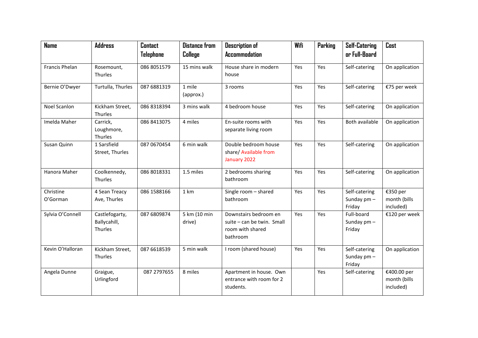| <b>Name</b>           | <b>Address</b>                            | <b>Contact</b> | <b>Distance from</b>   | <b>Description of</b>                                                               | Wifi | Parking | <b>Self-Catering</b>                   | Cost                                     |
|-----------------------|-------------------------------------------|----------------|------------------------|-------------------------------------------------------------------------------------|------|---------|----------------------------------------|------------------------------------------|
|                       |                                           | Telephone      | College                | <b>Accommodation</b>                                                                |      |         | or Full-Board                          |                                          |
| <b>Francis Phelan</b> | Rosemount,<br>Thurles                     | 086 8051579    | 15 mins walk           | House share in modern<br>house                                                      | Yes  | Yes     | Self-catering                          | On application                           |
|                       |                                           |                |                        |                                                                                     |      |         |                                        |                                          |
| Bernie O'Dwyer        | Turtulla, Thurles                         | 087 6881319    | 1 mile<br>(approx.)    | 3 rooms                                                                             | Yes  | Yes     | Self-catering                          | €75 per week                             |
| <b>Noel Scanlon</b>   | Kickham Street,<br>Thurles                | 086 8318394    | 3 mins walk            | 4 bedroom house                                                                     | Yes  | Yes     | Self-catering                          | On application                           |
| Imelda Maher          | Carrick,<br>Loughmore,<br>Thurles         | 086 8413075    | 4 miles                | En-suite rooms with<br>separate living room                                         | Yes  | Yes     | Both available                         | On application                           |
| Susan Quinn           | 1 Sarsfield<br>Street, Thurles            | 087 0670454    | 6 min walk             | Double bedroom house<br>share/ Available from<br>January 2022                       | Yes  | Yes     | Self-catering                          | On application                           |
| Hanora Maher          | Coolkennedy,<br>Thurles                   | 086 8018331    | 1.5 miles              | 2 bedrooms sharing<br>bathroom                                                      | Yes  | Yes     | Self-catering                          | On application                           |
| Christine<br>O'Gorman | 4 Sean Treacy<br>Ave, Thurles             | 086 1588166    | 1 km                   | Single room - shared<br>bathroom                                                    | Yes  | Yes     | Self-catering<br>Sunday pm -<br>Friday | €350 per<br>month (bills<br>included)    |
| Sylvia O'Connell      | Castlefogarty,<br>Ballycahill,<br>Thurles | 087 6809874    | 5 km (10 min<br>drive) | Downstairs bedroom en<br>suite – can be twin. Small<br>room with shared<br>bathroom | Yes  | Yes     | Full-board<br>Sunday pm -<br>Friday    | €120 per week                            |
| Kevin O'Halloran      | Kickham Street,<br>Thurles                | 087 6618539    | 5 min walk             | I room (shared house)                                                               | Yes  | Yes     | Self-catering<br>Sunday pm -<br>Friday | On application                           |
| Angela Dunne          | Graigue,<br>Urlingford                    | 087 2797655    | 8 miles                | Apartment in house. Own<br>entrance with room for 2<br>students.                    |      | Yes     | Self-catering                          | €400.00 per<br>month (bills<br>included) |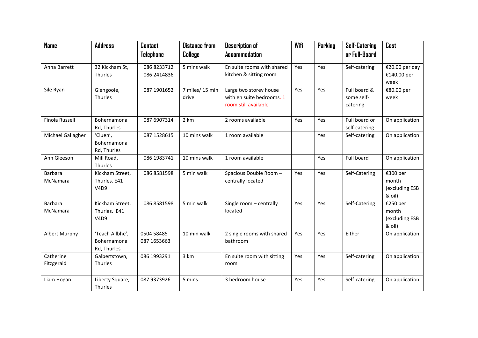| <b>Name</b>             | <b>Address</b>                                 | <b>Contact</b>             | <b>Distance from</b>     | <b>Description of</b>                                                       | Wifi | Parking | <b>Self-Catering</b>                   | Cost                                          |
|-------------------------|------------------------------------------------|----------------------------|--------------------------|-----------------------------------------------------------------------------|------|---------|----------------------------------------|-----------------------------------------------|
|                         |                                                | Telephone                  | College                  | <b>Accommodation</b>                                                        |      |         | or Full-Board                          |                                               |
| Anna Barrett            | 32 Kickham St,<br>Thurles                      | 086 8233712<br>086 2414836 | 5 mins walk              | En suite rooms with shared<br>kitchen & sitting room                        | Yes  | Yes     | Self-catering                          | €20.00 per day<br>€140.00 per<br>week         |
| Sile Ryan               | Glengoole,<br>Thurles                          | 087 1901652                | 7 miles/ 15 min<br>drive | Large two storey house<br>with en suite bedrooms. 1<br>room still available | Yes  | Yes     | Full board &<br>some self-<br>catering | €80.00 per<br>week                            |
| <b>Finola Russell</b>   | Bohernamona<br>Rd, Thurles                     | 087 6907314                | 2 km                     | 2 rooms available                                                           | Yes  | Yes     | Full board or<br>self-catering         | On application                                |
| Michael Gallagher       | 'Cluen',<br>Bohernamona<br>Rd, Thurles         | 087 1528615                | 10 mins walk             | 1 room available                                                            |      | Yes     | Self-catering                          | On application                                |
| Ann Gleeson             | Mill Road,<br>Thurles                          | 086 1983741                | 10 mins walk             | 1 room available                                                            |      | Yes     | Full board                             | On application                                |
| Barbara<br>McNamara     | Kickham Street,<br>Thurles. E41<br><b>V4D9</b> | 086 8581598                | 5 min walk               | Spacious Double Room -<br>centrally located                                 | Yes  | Yes     | Self-Catering                          | €300 per<br>month<br>(excluding ESB<br>& oil) |
| Barbara<br>McNamara     | Kickham Street,<br>Thurles. E41<br><b>V4D9</b> | 086 8581598                | 5 min walk               | Single room - centrally<br>located                                          | Yes  | Yes     | Self-Catering                          | €250 per<br>month<br>(excluding ESB<br>& oil) |
| Albert Murphy           | 'Teach Ailbhe',<br>Bohernamona<br>Rd, Thurles  | 0504 58485<br>087 1653663  | 10 min walk              | 2 single rooms with shared<br>bathroom                                      | Yes  | Yes     | Either                                 | On application                                |
| Catherine<br>Fitzgerald | Galbertstown,<br>Thurles                       | 086 1993291                | 3 km                     | En suite room with sitting<br>room                                          | Yes  | Yes     | Self-catering                          | On application                                |
| Liam Hogan              | Liberty Square,<br>Thurles                     | 087 9373926                | 5 mins                   | 3 bedroom house                                                             | Yes  | Yes     | Self-catering                          | On application                                |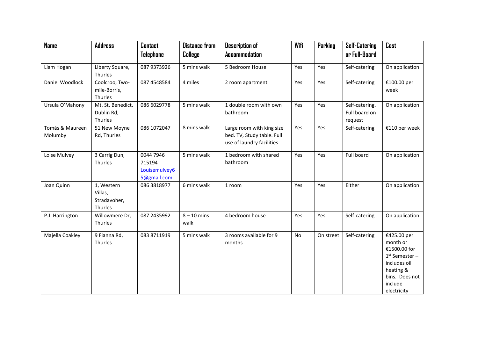| <b>Name</b>                | <b>Address</b>                                   | <b>Contact</b>                                      | <b>Distance from</b>  | <b>Description of</b>                                                                | Wifi | Parking   | <b>Self-Catering</b>                       | Cost                                                                                                                                 |
|----------------------------|--------------------------------------------------|-----------------------------------------------------|-----------------------|--------------------------------------------------------------------------------------|------|-----------|--------------------------------------------|--------------------------------------------------------------------------------------------------------------------------------------|
|                            |                                                  | Telephone                                           | College               | <b>Accommodation</b>                                                                 |      |           | or Full-Board                              |                                                                                                                                      |
| Liam Hogan                 | Liberty Square,<br>Thurles                       | 087 9373926                                         | 5 mins walk           | 5 Bedroom House                                                                      | Yes  | Yes       | Self-catering                              | On application                                                                                                                       |
| Daniel Woodlock            | Coolcroo, Two-<br>mile-Borris,<br>Thurles        | 087 4548584                                         | 4 miles               | 2 room apartment                                                                     | Yes  | Yes       | Self-catering                              | €100.00 per<br>week                                                                                                                  |
| Ursula O'Mahony            | Mt. St. Benedict,<br>Dublin Rd,<br>Thurles       | 086 6029778                                         | 5 mins walk           | 1 double room with own<br>bathroom                                                   | Yes  | Yes       | Self-catering.<br>Full board on<br>request | On application                                                                                                                       |
| Tomás & Maureen<br>Molumby | 51 New Moyne<br>Rd, Thurles                      | 086 1072047                                         | 8 mins walk           | Large room with king size<br>bed. TV, Study table. Full<br>use of laundry facilities | Yes  | Yes       | Self-catering                              | €110 per week                                                                                                                        |
| Loise Mulvey               | 3 Carrig Dun,<br>Thurles                         | 0044 7946<br>715194<br>Louisemulvey6<br>5@gmail.com | 5 mins walk           | 1 bedroom with shared<br>bathroom                                                    | Yes  | Yes       | Full board                                 | On application                                                                                                                       |
| Joan Quinn                 | 1, Western<br>Villas,<br>Stradavoher,<br>Thurles | 086 3818977                                         | 6 mins walk           | 1 room                                                                               | Yes  | Yes       | Either                                     | On application                                                                                                                       |
| P.J. Harrington            | Willowmere Dr,<br>Thurles                        | 087 2435992                                         | $8 - 10$ mins<br>walk | 4 bedroom house                                                                      | Yes  | Yes       | Self-catering                              | On application                                                                                                                       |
| Majella Coakley            | 9 Fianna Rd,<br>Thurles                          | 083 8711919                                         | 5 mins walk           | 3 rooms available for 9<br>months                                                    | No   | On street | Self-catering                              | €425.00 per<br>month or<br>€1500.00 for<br>$1st$ Semester -<br>includes oil<br>heating &<br>bins. Does not<br>include<br>electricity |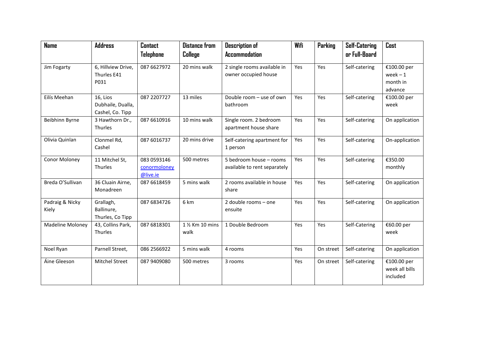| <b>Name</b>              | <b>Address</b>                                    | <b>Contact</b><br>Telephone             | <b>Distance from</b><br>College | <b>Description of</b><br><b>Accommodation</b>           | Wifi | Parking   | <b>Self-Catering</b><br>or Full-Board | Cost                                             |
|--------------------------|---------------------------------------------------|-----------------------------------------|---------------------------------|---------------------------------------------------------|------|-----------|---------------------------------------|--------------------------------------------------|
|                          |                                                   |                                         |                                 |                                                         |      |           |                                       |                                                  |
| Jim Fogarty              | 6, Hillview Drive,<br>Thurles E41<br>P031         | 087 6627972                             | 20 mins walk                    | 2 single rooms available in<br>owner occupied house     | Yes  | Yes       | Self-catering                         | €100.00 per<br>$week - 1$<br>month in<br>advance |
| Eilís Meehan             | 16, Lios<br>Dubhaile, Dualla,<br>Cashel, Co. Tipp | 087 2207727                             | 13 miles                        | Double room - use of own<br>bathroom                    | Yes  | Yes       | Self-catering                         | €100.00 per<br>week                              |
| Beibhinn Byrne           | 3 Hawthorn Dr.,<br>Thurles                        | 087 6610916                             | 10 mins walk                    | Single room. 2 bedroom<br>apartment house share         | Yes  | Yes       | Self-catering                         | On application                                   |
| Olivia Quinlan           | Clonmel Rd,<br>Cashel                             | 087 6016737                             | 20 mins drive                   | Self-catering apartment for<br>1 person                 | Yes  | Yes       | Self-catering                         | On-application                                   |
| Conor Moloney            | 11 Mitchel St,<br>Thurles                         | 083 0593146<br>conormoloney<br>@live.ie | 500 metres                      | 5 bedroom house - rooms<br>available to rent separately | Yes  | Yes       | Self-catering                         | €350.00<br>monthly                               |
| Breda O'Sullivan         | 36 Cluain Airne,<br>Monadreen                     | 087 6618459                             | 5 mins walk                     | 2 rooms available in house<br>share                     | Yes  | Yes       | Self-catering                         | On application                                   |
| Padraig & Nicky<br>Kiely | Grallagh,<br>Ballinure,<br>Thurles, Co Tipp       | 087 6834726                             | 6 km                            | 2 double rooms - one<br>ensuite                         | Yes  | Yes       | Self-catering                         | On application                                   |
| <b>Madeline Moloney</b>  | 43, Collins Park,<br>Thurles                      | 087 6818301                             | 1 % Km 10 mins<br>walk          | 1 Double Bedroom                                        | Yes  | Yes       | Self-Catering                         | €60.00 per<br>week                               |
| Noel Ryan                | Parnell Street,                                   | 086 2566922                             | 5 mins walk                     | 4 rooms                                                 | Yes  | On street | Self-catering                         | On application                                   |
| Áine Gleeson             | <b>Mitchel Street</b>                             | 087 9409080                             | 500 metres                      | 3 rooms                                                 | Yes  | On street | Self-catering                         | €100.00 per<br>week all bills<br>included        |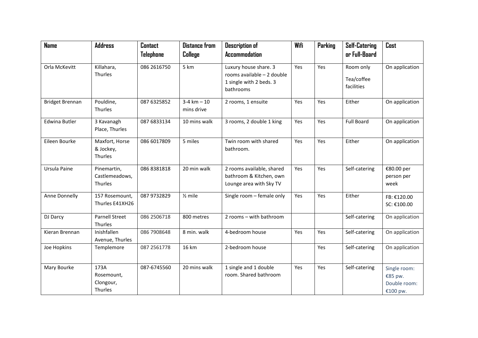| <b>Name</b>            | <b>Address</b>                             | <b>Contact</b> | <b>Distance from</b>        | <b>Description of</b>                                                                       | Wifi | Parking | <b>Self-Catering</b>                  | Cost                                                |
|------------------------|--------------------------------------------|----------------|-----------------------------|---------------------------------------------------------------------------------------------|------|---------|---------------------------------------|-----------------------------------------------------|
|                        |                                            | Telephone      | College                     | <b>Accommodation</b>                                                                        |      |         | or Full-Board                         |                                                     |
| Orla McKevitt          | Killahara,<br>Thurles                      | 086 2616750    | 5 km                        | Luxury house share. 3<br>rooms available - 2 double<br>1 single with 2 beds. 3<br>bathrooms | Yes  | Yes     | Room only<br>Tea/coffee<br>facilities | On application                                      |
| <b>Bridget Brennan</b> | Pouldine,<br>Thurles                       | 087 6325852    | $3-4 km - 10$<br>mins drive | 2 rooms, 1 ensuite                                                                          | Yes  | Yes     | Either                                | On application                                      |
| <b>Edwina Butler</b>   | 3 Kavanagh<br>Place, Thurles               | 087 6833134    | 10 mins walk                | 3 rooms, 2 double 1 king                                                                    | Yes  | Yes     | <b>Full Board</b>                     | On application                                      |
| Eileen Bourke          | Maxfort, Horse<br>& Jockey,<br>Thurles     | 086 6017809    | 5 miles                     | Twin room with shared<br>bathroom.                                                          | Yes  | Yes     | Either                                | On application                                      |
| Ursula Paine           | Pinemartin,<br>Castlemeadows,<br>Thurles   | 086 8381818    | 20 min walk                 | 2 rooms available, shared<br>bathroom & Kitchen, own<br>Lounge area with Sky TV             | Yes  | Yes     | Self-catering                         | €80.00 per<br>person per<br>week                    |
| Anne Donnelly          | 157 Rosemount,<br>Thurles E41XH26          | 087 9732829    | $\frac{1}{2}$ mile          | Single room - female only                                                                   | Yes  | Yes     | Either                                | FB: €120.00<br>SC: €100.00                          |
| DJ Darcy               | <b>Parnell Street</b><br>Thurles           | 086 2506718    | 800 metres                  | 2 rooms - with bathroom                                                                     |      |         | Self-catering                         | On application                                      |
| Kieran Brennan         | Inishfallen<br>Avenue, Thurles             | 086 7908648    | 8 min. walk                 | 4-bedroom house                                                                             | Yes  | Yes     | Self-catering                         | On application                                      |
| Joe Hopkins            | Templemore                                 | 087 2561778    | 16 km                       | 2-bedroom house                                                                             |      | Yes     | Self-catering                         | On application                                      |
| Mary Bourke            | 173A<br>Rosemount,<br>Clongour,<br>Thurles | 087-6745560    | 20 mins walk                | 1 single and 1 double<br>room. Shared bathroom                                              | Yes  | Yes     | Self-catering                         | Single room:<br>€85 pw.<br>Double room:<br>€100 pw. |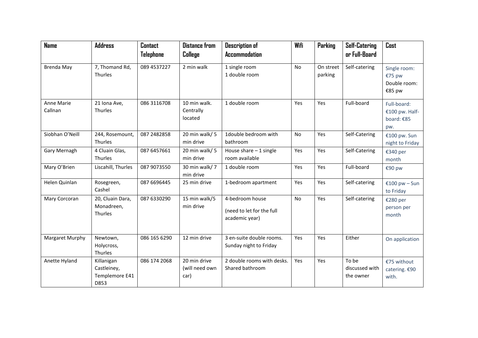| <b>Name</b>           | <b>Address</b>                                      | <b>Contact</b> | <b>Distance from</b>                   | <b>Description of</b>                                          | Wifi      | Parking              | <b>Self-Catering</b>                 | Cost                                               |
|-----------------------|-----------------------------------------------------|----------------|----------------------------------------|----------------------------------------------------------------|-----------|----------------------|--------------------------------------|----------------------------------------------------|
|                       |                                                     | Telephone      | College                                | <b>Accommodation</b>                                           |           |                      | or Full-Board                        |                                                    |
| Brenda May            | 7, Thomand Rd,<br>Thurles                           | 089 4537227    | 2 min walk                             | 1 single room<br>1 double room                                 | No        | On street<br>parking | Self-catering                        | Single room:<br>€75 pw<br>Double room:<br>€85 pw   |
| Anne Marie<br>Callnan | 21 Iona Ave,<br>Thurles                             | 086 3116708    | 10 min walk.<br>Centrally<br>located   | 1 double room                                                  | Yes       | Yes                  | Full-board                           | Full-board:<br>€100 pw. Half-<br>board: €85<br>pw. |
| Siobhan O'Neill       | 244, Rosemount,<br>Thurles                          | 087 248 2858   | 20 min walk/ 5<br>min drive            | 1double bedroom with<br>bathroom                               | No        | Yes                  | Self-Catering                        | €100 pw. Sun<br>night to Friday                    |
| Gary Mernagh          | 4 Cluain Glas,<br>Thurles                           | 087 6457661    | 20 min walk/ 5<br>min drive            | House share $-1$ single<br>room available                      | Yes       | Yes                  | Self-Catering                        | €340 per<br>month                                  |
| Mary O'Brien          | Liscahill, Thurles                                  | 087 9073550    | 30 min walk/7<br>min drive             | 1 double room                                                  | Yes       | Yes                  | Full-board                           | €90 pw                                             |
| Helen Quinlan         | Rosegreen,<br>Cashel                                | 087 6696445    | 25 min drive                           | 1-bedroom apartment                                            | Yes       | Yes                  | Self-catering                        | €100 pw - Sun<br>to Friday                         |
| Mary Corcoran         | 20, Cluain Dara,<br>Monadreen,<br>Thurles           | 087 6330290    | 15 min walk/5<br>min drive             | 4-bedroom house<br>(need to let for the full<br>academic year) | <b>No</b> | Yes                  | Self-catering                        | €280 per<br>person per<br>month                    |
| Margaret Murphy       | Newtown,<br>Holycross,<br>Thurles                   | 086 165 6290   | 12 min drive                           | 3 en-suite double rooms.<br>Sunday night to Friday             | Yes       | Yes                  | Either                               | On application                                     |
| Anette Hyland         | Killanigan<br>Castleiney,<br>Templemore E41<br>D853 | 086 174 2068   | 20 min drive<br>(will need own<br>car) | 2 double rooms with desks.<br>Shared bathroom                  | Yes       | Yes                  | To be<br>discussed with<br>the owner | €75 without<br>catering. €90<br>with.              |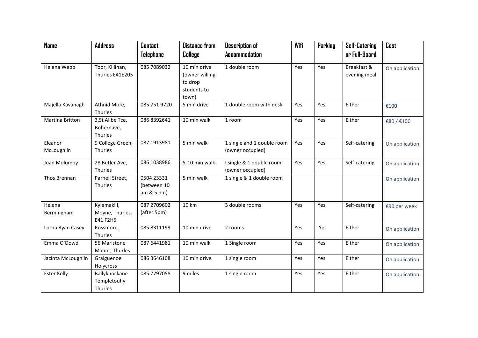| <b>Name</b>           | <b>Address</b>                             | <b>Contact</b>                             | <b>Distance from</b>                                              | <b>Description of</b>                          | Wifi | Parking | <b>Self-Catering</b>        | Cost           |
|-----------------------|--------------------------------------------|--------------------------------------------|-------------------------------------------------------------------|------------------------------------------------|------|---------|-----------------------------|----------------|
|                       |                                            | <b>Telephone</b>                           | College                                                           | <b>Accommodation</b>                           |      |         | or Full-Board               |                |
| Helena Webb           | Toor, Killinan,<br>Thurles E41E205         | 085 7089032                                | 10 min drive<br>(owner willing<br>to drop<br>students to<br>town) | 1 double room                                  | Yes  | Yes     | Breakfast &<br>evening meal | On application |
| Majella Kavanagh      | Athnid More,<br>Thurles                    | 085 751 9720                               | 5 min drive                                                       | 1 double room with desk                        | Yes  | Yes     | Either                      | €100           |
| Martina Britton       | 3, St Alibe Tce,<br>Bohernave,<br>Thurles  | 086 8392641                                | 10 min walk                                                       | 1 room                                         | Yes  | Yes     | Either                      | €80 / €100     |
| Eleanor<br>McLoughlin | 9 College Green,<br>Thurles                | 087 1913981                                | 5 min walk                                                        | 1 single and 1 double room<br>(owner occupied) | Yes  | Yes     | Self-catering               | On application |
| Joan Molumby          | 28 Butler Ave,<br>Thurles                  | 086 1038986                                | 5-10 min walk                                                     | I single & 1 double room<br>(owner occupied)   | Yes  | Yes     | Self-catering               | On application |
| Thos Brennan          | Parnell Street,<br>Thurles                 | 0504 23331<br>(between 10<br>$am & 5 pm$ ) | 5 min walk                                                        | 1 single & 1 double room                       |      |         |                             | On application |
| Helena<br>Bermingham  | Kylemakill,<br>Moyne, Thurles.<br>E41 F2H5 | 087 2709602<br>(after 5pm)                 | 10 km                                                             | 3 double rooms                                 | Yes  | Yes     | Self-catering               | €90 per week   |
| Lorna Ryan Casey      | Rossmore,<br>Thurles                       | 085 8311199                                | 10 min drive                                                      | 2 rooms                                        | Yes  | Yes     | Either                      | On application |
| Emma O'Dowd           | 56 Marlstone<br>Manor, Thurles             | 087 6441981                                | 10 min walk                                                       | 1 Single room                                  | Yes  | Yes     | Either                      | On application |
| Jacinta McLoughlin    | Graiguenoe<br>Holycross                    | 086 3646108                                | 10 min drive                                                      | 1 single room                                  | Yes  | Yes     | Either                      | On application |
| <b>Ester Kelly</b>    | Ballyknockane<br>Templetouhy<br>Thurles    | 085 7797058                                | 9 miles                                                           | 1 single room                                  | Yes  | Yes     | Either                      | On application |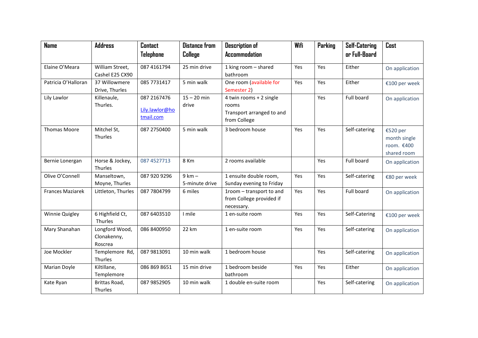| <b>Name</b>             | <b>Address</b>                           | <b>Contact</b>                             | <b>Distance from</b>       | <b>Description of</b>                                                         | Wifi | Parking | <b>Self-Catering</b> | Cost                                                  |
|-------------------------|------------------------------------------|--------------------------------------------|----------------------------|-------------------------------------------------------------------------------|------|---------|----------------------|-------------------------------------------------------|
|                         |                                          | Telephone                                  | College                    | <b>Accommodation</b>                                                          |      |         | or Full-Board        |                                                       |
| Elaine O'Meara          | William Street,<br>Cashel E25 CX90       | 087 4161794                                | 25 min drive               | 1 king room - shared<br>bathroom                                              | Yes  | Yes     | Either               | On application                                        |
| Patricia O'Halloran     | 37 Willowmere<br>Drive, Thurles          | 085 7731417                                | 5 min walk                 | One room (available for<br>Semester 2)                                        | Yes  | Yes     | Either               | €100 per week                                         |
| Lily Lawlor             | Killenaule,<br>Thurles.                  | 087 2167476<br>Lily.lawlor@ho<br>tmail.com | $15 - 20$ min<br>drive     | 4 twin rooms + 2 single<br>rooms<br>Transport arranged to and<br>from College |      | Yes     | Full board           | On application                                        |
| <b>Thomas Moore</b>     | Mitchel St,<br>Thurles                   | 087 2750400                                | 5 min walk                 | 3 bedroom house                                                               | Yes  | Yes     | Self-catering        | €520 per<br>month single<br>room. €400<br>shared room |
| Bernie Lonergan         | Horse & Jockey,<br>Thurles               | 087 4527713                                | 8 Km                       | 2 rooms available                                                             |      | Yes     | Full board           | On application                                        |
| Olive O'Connell         | Manseltown,<br>Moyne, Thurles            | 087 920 9296                               | $9 km -$<br>5-minute drive | 1 ensuite double room,<br>Sunday evening to Friday                            | Yes  | Yes     | Self-catering        | €80 per week                                          |
| <b>Frances Maziarek</b> | Littleton, Thurles                       | 087 7804799                                | 6 miles                    | 1room - transport to and<br>from College provided if<br>necessary.            | Yes  | Yes     | Full board           | On application                                        |
| Winnie Quigley          | 6 Highfield Ct,<br>Thurles               | 087 6403510                                | I mile                     | 1 en-suite room                                                               | Yes  | Yes     | Self-Catering        | €100 per week                                         |
| Mary Shanahan           | Longford Wood,<br>Clonakenny,<br>Roscrea | 086 8400950                                | 22 km                      | 1 en-suite room                                                               | Yes  | Yes     | Self-catering        | On application                                        |
| Joe Mockler             | Templemore Rd,<br>Thurles                | 087 9813091                                | 10 min walk                | 1 bedroom house                                                               |      | Yes     | Self-catering        | On application                                        |
| Marian Doyle            | Kiltillane,<br>Templemore                | 086 869 8651                               | 15 min drive               | 1 bedroom beside<br>bathroom                                                  | Yes  | Yes     | Either               | On application                                        |
| Kate Ryan               | Brittas Road,<br>Thurles                 | 087 9852905                                | 10 min walk                | 1 double en-suite room                                                        |      | Yes     | Self-catering        | On application                                        |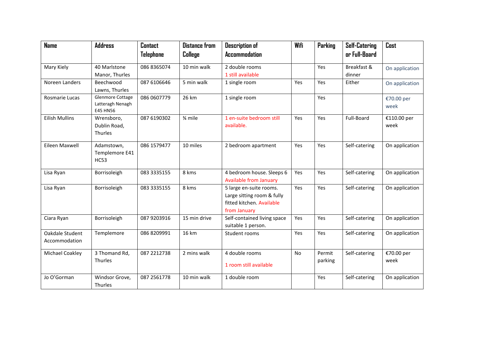| <b>Name</b>                      | <b>Address</b>                                   | <b>Contact</b> | <b>Distance from</b> | <b>Description of</b>                                                                              | Wifi | Parking           | <b>Self-Catering</b> | Cost                |
|----------------------------------|--------------------------------------------------|----------------|----------------------|----------------------------------------------------------------------------------------------------|------|-------------------|----------------------|---------------------|
|                                  |                                                  | Telephone      | College              | <b>Accommodation</b>                                                                               |      |                   | or Full-Board        |                     |
| Mary Kiely                       | 40 Marlstone                                     | 086 8365074    | 10 min walk          | 2 double rooms                                                                                     |      | Yes               | Breakfast &          | On application      |
|                                  | Manor, Thurles                                   |                |                      | 1 still available                                                                                  |      |                   | dinner               |                     |
| Noreen Landers                   | Beechwood<br>Lawns, Thurles                      | 087 6106646    | 5 min walk           | 1 single room                                                                                      | Yes  | Yes               | Either               | On application      |
| Rosmarie Lucas                   | Glenmore Cottage<br>Latteragh Nenagh<br>E45 HN56 | 086 0607779    | 26 km                | 1 single room                                                                                      |      | Yes               |                      | €70.00 per<br>week  |
| <b>Eilish Mullins</b>            | Wrensboro,<br>Dublin Road,<br>Thurles            | 087 6190302    | 3⁄4 mile             | 1 en-suite bedroom still<br>available.                                                             | Yes  | Yes               | Full-Board           | €110.00 per<br>week |
| Eileen Maxwell                   | Adamstown,<br>Templemore E41<br><b>HC53</b>      | 086 1579477    | 10 miles             | 2 bedroom apartment                                                                                | Yes  | Yes               | Self-catering        | On application      |
| Lisa Ryan                        | Borrisoleigh                                     | 083 3335155    | 8 kms                | 4 bedroom house. Sleeps 6<br><b>Available from January</b>                                         | Yes  | Yes               | Self-catering        | On application      |
| Lisa Ryan                        | Borrisoleigh                                     | 083 3335155    | 8 kms                | 5 large en-suite rooms.<br>Large sitting room & fully<br>fitted kitchen. Available<br>from January | Yes  | Yes               | Self-catering        | On application      |
| Ciara Ryan                       | Borrisoleigh                                     | 087 9203916    | 15 min drive         | Self-contained living space<br>suitable 1 person.                                                  | Yes  | Yes               | Self-catering        | On application      |
| Oakdale Student<br>Accommodation | Templemore                                       | 086 8209991    | 16 km                | Student rooms                                                                                      | Yes  | Yes               | Self-catering        | On application      |
| Michael Coakley                  | 3 Thomand Rd,<br>Thurles                         | 087 2212738    | 2 mins walk          | 4 double rooms<br>1 room still available                                                           | No   | Permit<br>parking | Self-catering        | €70.00 per<br>week  |
| Jo O'Gorman                      | Windsor Grove,<br>Thurles                        | 087 2561778    | 10 min walk          | 1 double room                                                                                      |      | Yes               | Self-catering        | On application      |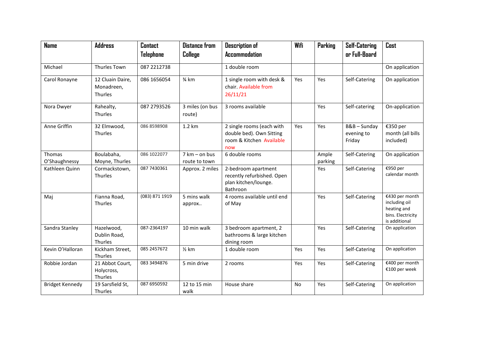| <b>Name</b>             | <b>Address</b>                            | <b>Contact</b> | <b>Distance from</b>           | <b>Description of</b>                                                                    | Wifi      | <b>Parking</b>   | <b>Self-Catering</b>               | Cost                                                                                 |
|-------------------------|-------------------------------------------|----------------|--------------------------------|------------------------------------------------------------------------------------------|-----------|------------------|------------------------------------|--------------------------------------------------------------------------------------|
|                         |                                           | Telephone      | College                        | <b>Accommodation</b>                                                                     |           |                  | or Full-Board                      |                                                                                      |
| Michael                 | Thurles Town                              | 087 2212738    |                                | 1 double room                                                                            |           |                  |                                    | On application                                                                       |
| Carol Ronayne           | 12 Cluain Daire,<br>Monadreen,<br>Thurles | 086 1656054    | 3⁄4 km                         | 1 single room with desk &<br>chair. Available from<br>26/11/21                           | Yes       | Yes              | Self-Catering                      | On application                                                                       |
| Nora Dwyer              | Rahealty,<br>Thurles                      | 087 2793526    | 3 miles (on bus<br>route)      | 3 rooms available                                                                        |           | Yes              | Self-catering                      | On-application                                                                       |
| Anne Griffin            | 32 Elmwood,<br>Thurles                    | 086 8598908    | 1.2 km                         | 2 single rooms (each with<br>double bed). Own Sitting<br>room & Kitchen Available<br>now | Yes       | Yes              | B&B-Sunday<br>evening to<br>Friday | €350 per<br>month (all bills<br>included)                                            |
| Thomas<br>O'Shaughnessy | Boulabaha,<br>Moyne, Thurles              | 086 1022077    | 7 km - on bus<br>route to town | 6 double rooms                                                                           |           | Ample<br>parking | Self-Catering                      | On application                                                                       |
| Kathleen Quinn          | Cormackstown,<br>Thurles                  | 087 7430361    | Approx. 2 miles                | 2-bedroom apartment<br>recently refurbished. Open<br>plan kitchen/lounge.<br>Bathroon    |           | Yes              | Self-Catering                      | €950 per<br>calendar month                                                           |
| Maj                     | Fianna Road,<br>Thurles                   | (083) 871 1919 | 5 mins walk<br>approx          | 4 rooms available until end<br>of May                                                    |           | Yes              | Self-Catering                      | €430 per month<br>including oil<br>heating and<br>bins. Electricity<br>is additional |
| Sandra Stanley          | Hazelwood,<br>Dublin Road,<br>Thurles     | 087-2364197    | 10 min walk                    | 3 bedroom apartment, 2<br>bathrooms & large kitchen<br>dining room                       |           | Yes              | Self-Catering                      | On application                                                                       |
| Kevin O'Halloran        | Kickham Street,<br>Thurles                | 085 2457672    | $\frac{1}{2}$ km               | 1 double room                                                                            | Yes       | Yes              | Self-Catering                      | On application                                                                       |
| Robbie Jordan           | 21 Abbot Court,<br>Holycross,<br>Thurles  | 083 3494876    | 5 min drive                    | 2 rooms                                                                                  | Yes       | Yes              | Self-Catering                      | €400 per month<br>€100 per week                                                      |
| <b>Bridget Kennedy</b>  | 19 Sarsfield St,<br>Thurles               | 087 6950592    | 12 to 15 min<br>walk           | House share                                                                              | <b>No</b> | Yes              | Self-Catering                      | On application                                                                       |